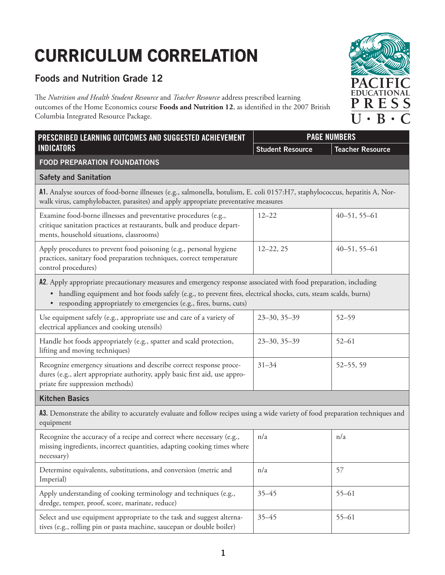## **CURRICULUM CORRELATION**

## **Foods and Nutrition Grade 12**

The *Nutrition and Health Student Resource* and *Teacher Resource* address prescribed learning outcomes of the Home Economics course **Foods and Nutrition 12**, as identified in the 2007 British Columbia Integrated Resource Package.

| PRESCRIBED LEARNING OUTCOMES AND SUGGESTED ACHIEVEMENT                                                                                                                                                                                                                                                                            | <b>PAGE NUMBERS</b>     |                         |  |  |
|-----------------------------------------------------------------------------------------------------------------------------------------------------------------------------------------------------------------------------------------------------------------------------------------------------------------------------------|-------------------------|-------------------------|--|--|
| <b>INDICATORS</b>                                                                                                                                                                                                                                                                                                                 | <b>Student Resource</b> | <b>Teacher Resource</b> |  |  |
| <b>FOOD PREPARATION FOUNDATIONS</b>                                                                                                                                                                                                                                                                                               |                         |                         |  |  |
| <b>Safety and Sanitation</b>                                                                                                                                                                                                                                                                                                      |                         |                         |  |  |
| A1. Analyse sources of food-borne illnesses (e.g., salmonella, botulism, E. coli 0157:H7, staphylococcus, hepatitis A, Nor-<br>walk virus, camphylobacter, parasites) and apply appropriate preventative measures                                                                                                                 |                         |                         |  |  |
| Examine food-borne illnesses and preventative procedures (e.g.,<br>critique sanitation practices at restaurants, bulk and produce depart-<br>ments, household situations, classrooms)                                                                                                                                             | $12 - 22$               | $40 - 51, 55 - 61$      |  |  |
| Apply procedures to prevent food poisoning (e.g., personal hygiene<br>practices, sanitary food preparation techniques, correct temperature<br>control procedures)                                                                                                                                                                 | $12 - 22, 25$           | $40 - 51, 55 - 61$      |  |  |
| A2. Apply appropriate precautionary measures and emergency response associated with food preparation, including<br>handling equipment and hot foods safely (e.g., to prevent fires, electrical shocks, cuts, steam scalds, burns)<br>$\bullet$<br>responding appropriately to emergencies (e.g., fires, burns, cuts)<br>$\bullet$ |                         |                         |  |  |
| Use equipment safely (e.g., appropriate use and care of a variety of<br>electrical appliances and cooking utensils)                                                                                                                                                                                                               | $23 - 30, 35 - 39$      | $52 - 59$               |  |  |
| Handle hot foods appropriately (e.g., spatter and scald protection,<br>lifting and moving techniques)                                                                                                                                                                                                                             | $23 - 30, 35 - 39$      | $52 - 61$               |  |  |
| Recognize emergency situations and describe correct response proce-<br>dures (e.g., alert appropriate authority, apply basic first aid, use appro-<br>priate fire suppression methods)                                                                                                                                            | $31 - 34$               | $52 - 55, 59$           |  |  |
| <b>Kitchen Basics</b>                                                                                                                                                                                                                                                                                                             |                         |                         |  |  |
| A3. Demonstrate the ability to accurately evaluate and follow recipes using a wide variety of food preparation techniques and<br>equipment                                                                                                                                                                                        |                         |                         |  |  |
| Recognize the accuracy of a recipe and correct where necessary (e.g.,<br>missing ingredients, incorrect quantities, adapting cooking times where<br>necessary)                                                                                                                                                                    | n/a                     | n/a                     |  |  |
| Determine equivalents, substitutions, and conversion (metric and<br>Imperial)                                                                                                                                                                                                                                                     | n/a                     | 57                      |  |  |
| Apply understanding of cooking terminology and techniques (e.g.,<br>dredge, temper, proof, score, marinate, reduce)                                                                                                                                                                                                               | $35 - 45$               | $55 - 61$               |  |  |
| Select and use equipment appropriate to the task and suggest alterna-<br>tives (e.g., rolling pin or pasta machine, saucepan or double boiler)                                                                                                                                                                                    | $35 - 45$               | $55 - 61$               |  |  |

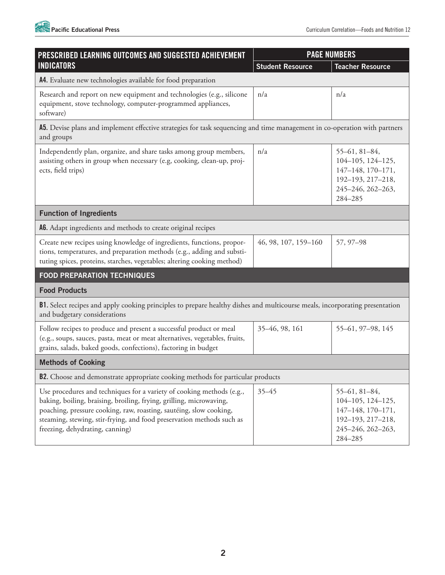

| PRESCRIBED LEARNING OUTCOMES AND SUGGESTED ACHIEVEMENT<br><b>INDICATORS</b>                                                                                                                                                                                                                                                    | <b>PAGE NUMBERS</b>     |                                                                                                                                    |  |  |
|--------------------------------------------------------------------------------------------------------------------------------------------------------------------------------------------------------------------------------------------------------------------------------------------------------------------------------|-------------------------|------------------------------------------------------------------------------------------------------------------------------------|--|--|
|                                                                                                                                                                                                                                                                                                                                | <b>Student Resource</b> | <b>Teacher Resource</b>                                                                                                            |  |  |
| A4. Evaluate new technologies available for food preparation                                                                                                                                                                                                                                                                   |                         |                                                                                                                                    |  |  |
| Research and report on new equipment and technologies (e.g., silicone<br>equipment, stove technology, computer-programmed appliances,<br>software)                                                                                                                                                                             | n/a                     | n/a                                                                                                                                |  |  |
| A5. Devise plans and implement effective strategies for task sequencing and time management in co-operation with partners<br>and groups                                                                                                                                                                                        |                         |                                                                                                                                    |  |  |
| Independently plan, organize, and share tasks among group members,<br>assisting others in group when necessary (e.g, cooking, clean-up, proj-<br>ects, field trips)                                                                                                                                                            | n/a                     | $55-61, 81-84,$<br>104-105, 124-125,<br>147-148, 170-171,<br>192-193, 217-218,<br>245-246, 262-263,<br>284-285                     |  |  |
| <b>Function of Ingredients</b>                                                                                                                                                                                                                                                                                                 |                         |                                                                                                                                    |  |  |
| A6. Adapt ingredients and methods to create original recipes                                                                                                                                                                                                                                                                   |                         |                                                                                                                                    |  |  |
| Create new recipes using knowledge of ingredients, functions, propor-<br>tions, temperatures, and preparation methods (e.g., adding and substi-<br>tuting spices, proteins, starches, vegetables; altering cooking method)                                                                                                     | 46, 98, 107, 159-160    | 57, 97-98                                                                                                                          |  |  |
| <b>FOOD PREPARATION TECHNIQUES</b>                                                                                                                                                                                                                                                                                             |                         |                                                                                                                                    |  |  |
| <b>Food Products</b>                                                                                                                                                                                                                                                                                                           |                         |                                                                                                                                    |  |  |
| <b>B1.</b> Select recipes and apply cooking principles to prepare healthy dishes and multicourse meals, incorporating presentation<br>and budgetary considerations                                                                                                                                                             |                         |                                                                                                                                    |  |  |
| Follow recipes to produce and present a successful product or meal<br>(e.g., soups, sauces, pasta, meat or meat alternatives, vegetables, fruits,<br>grains, salads, baked goods, confections), factoring in budget                                                                                                            | 35-46, 98, 161          | 55-61, 97-98, 145                                                                                                                  |  |  |
| <b>Methods of Cooking</b>                                                                                                                                                                                                                                                                                                      |                         |                                                                                                                                    |  |  |
| <b>B2.</b> Choose and demonstrate appropriate cooking methods for particular products                                                                                                                                                                                                                                          |                         |                                                                                                                                    |  |  |
| Use procedures and techniques for a variety of cooking methods (e.g.,<br>baking, boiling, braising, broiling, frying, grilling, microwaving,<br>poaching, pressure cooking, raw, roasting, sautéing, slow cooking,<br>steaming, stewing, stir-frying, and food preservation methods such as<br>freezing, dehydrating, canning) | $35 - 45$               | $55-61, 81-84,$<br>$104 - 105$ , $124 - 125$ ,<br>$147 - 148$ , $170 - 171$ ,<br>192-193, 217-218,<br>245-246, 262-263,<br>284-285 |  |  |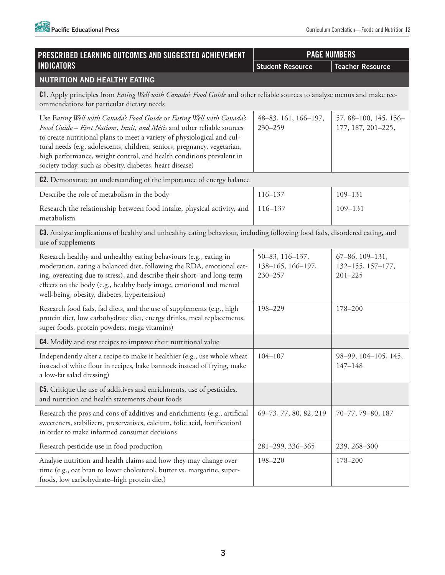

| PRESCRIBED LEARNING OUTCOMES AND SUGGESTED ACHIEVEMENT                                                                                                                                                                                                                                                                                                                                                                                      | <b>PAGE NUMBERS</b>                             |                                                     |  |  |
|---------------------------------------------------------------------------------------------------------------------------------------------------------------------------------------------------------------------------------------------------------------------------------------------------------------------------------------------------------------------------------------------------------------------------------------------|-------------------------------------------------|-----------------------------------------------------|--|--|
| <b>INDICATORS</b>                                                                                                                                                                                                                                                                                                                                                                                                                           | <b>Student Resource</b>                         | <b>Teacher Resource</b>                             |  |  |
| <b>NUTRITION AND HEALTHY EATING</b>                                                                                                                                                                                                                                                                                                                                                                                                         |                                                 |                                                     |  |  |
| C1. Apply principles from <i>Eating Well with Canada's Food Guide</i> and other reliable sources to analyse menus and make rec-<br>ommendations for particular dietary needs                                                                                                                                                                                                                                                                |                                                 |                                                     |  |  |
| Use Eating Well with Canada's Food Guide or Eating Well with Canada's<br>Food Guide - First Nations, Inuit, and Métis and other reliable sources<br>to create nutritional plans to meet a variety of physiological and cul-<br>tural needs (e.g, adolescents, children, seniors, pregnancy, vegetarian,<br>high performance, weight control, and health conditions prevalent in<br>society today, such as obesity, diabetes, heart disease) | 48-83, 161, 166-197,<br>$230 - 259$             | 57, 88-100, 145, 156-<br>177, 187, 201-225,         |  |  |
| C2. Demonstrate an understanding of the importance of energy balance                                                                                                                                                                                                                                                                                                                                                                        |                                                 |                                                     |  |  |
| Describe the role of metabolism in the body                                                                                                                                                                                                                                                                                                                                                                                                 | $116 - 137$                                     | $109 - 131$                                         |  |  |
| Research the relationship between food intake, physical activity, and<br>metabolism                                                                                                                                                                                                                                                                                                                                                         | 116-137                                         | 109-131                                             |  |  |
| C3. Analyse implications of healthy and unhealthy eating behaviour, including following food fads, disordered eating, and<br>use of supplements                                                                                                                                                                                                                                                                                             |                                                 |                                                     |  |  |
| Research healthy and unhealthy eating behaviours (e.g., eating in<br>moderation, eating a balanced diet, following the RDA, emotional eat-<br>ing, overeating due to stress), and describe their short- and long-term<br>effects on the body (e.g., healthy body image, emotional and mental<br>well-being, obesity, diabetes, hypertension)                                                                                                | 50-83, 116-137,<br>138-165, 166-197,<br>230-257 | 67-86, 109-131,<br>132-155, 157-177,<br>$201 - 225$ |  |  |
| Research food fads, fad diets, and the use of supplements (e.g., high<br>protein diet, low carbohydrate diet, energy drinks, meal replacements,<br>super foods, protein powders, mega vitamins)                                                                                                                                                                                                                                             | 198-229                                         | 178-200                                             |  |  |
| C4. Modify and test recipes to improve their nutritional value                                                                                                                                                                                                                                                                                                                                                                              |                                                 |                                                     |  |  |
| Independently alter a recipe to make it healthier (e.g., use whole wheat<br>instead of white flour in recipes, bake bannock instead of frying, make<br>a low-fat salad dressing)                                                                                                                                                                                                                                                            | $104 - 107$                                     | 98-99, 104-105, 145,<br>$147 - 148$                 |  |  |
| <b>C5.</b> Critique the use of additives and enrichments, use of pesticides,<br>and nutrition and health statements about foods                                                                                                                                                                                                                                                                                                             |                                                 |                                                     |  |  |
| Research the pros and cons of additives and enrichments (e.g., artificial<br>sweeteners, stabilizers, preservatives, calcium, folic acid, fortification)<br>in order to make informed consumer decisions                                                                                                                                                                                                                                    | 69-73, 77, 80, 82, 219                          | 70-77, 79-80, 187                                   |  |  |
| Research pesticide use in food production                                                                                                                                                                                                                                                                                                                                                                                                   | 281-299, 336-365                                | 239, 268-300                                        |  |  |
| Analyse nutrition and health claims and how they may change over<br>time (e.g., oat bran to lower cholesterol, butter vs. margarine, super-<br>foods, low carbohydrate-high protein diet)                                                                                                                                                                                                                                                   | 198-220                                         | 178-200                                             |  |  |